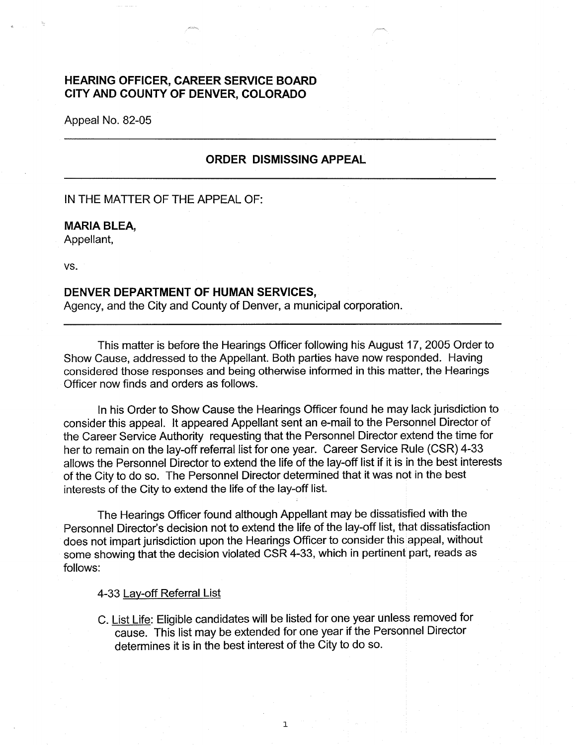# **HEARING OFFICER, CAREER SERVICE BOARD CITY AND COUNTY OF DENVER, COLORADO**

Appeal No. 82-05

## **ORDER DISMISSING APPEAL**

## IN THE MATTER OF THE APPEAL OF:

### **MARIA BLEA,**

Appellant,

vs.

#### **DENVER DEPARTMENT OF HUMAN SERVICES,**

Agency, and the City and County of Denver, a municipal corporation.

This matter is before the Hearings Officer following his August 17, 2005 Order to Show Cause, addressed to the Appellant. Both parties have now responded. Having considered those responses and being otherwise informed in this matter, the Hearings Officer now finds and orders as follows.

In his Order to Show Cause the Hearings Officer found he may lack jurisdiction to consider this appeal. It appeared Appellant sent an e-mail to the Personnel Director of the Career Service Authority requesting that the Personnel Director extend the time for her to remain on the lay-off referral list for one year. Career Service Rule (CSR) 4-33 allows the Personnel Director to extend the life of the lay-off list if it is in the best interests of the City to do so. The Personnel Director determined that it was not in the best interests of the City to extend the life of the lay-off list.

The Hearings Officer found although Appellant may be dissatisfied with the Personnel Director's decision not to extend the life of the lay-off list, that dissatisfaction does not impart jurisdiction upon the Hearings Officer to consider this appeal, without some showing that the decision violated CSR 4-33, which in pertinent part, reads as follows:

### 4-33 Lay-off Referral List

C. List Life: Eligible candidates will be listed for one year unless removed for cause. This list may be extended for one year if the Personnel Director determines it is in the best interest of the City to do so.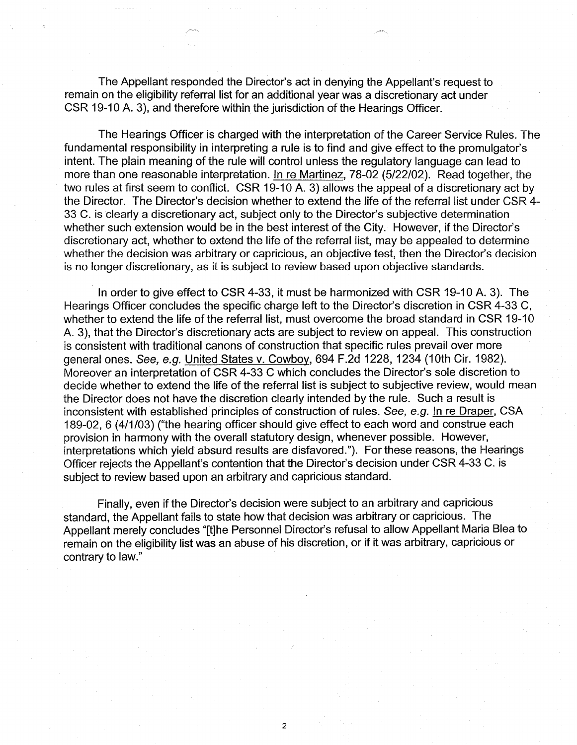The Appellant responded the Director's act in denying the Appellant's request to remain on the eligibility referral list for an additional year was a discretionary act under CSR 19-10 A. 3), and therefore within the jurisdiction of the Hearings Officer.

The Hearings Officer is charged with the interpretation of the Career Service Rules. The fundamental responsibility in interpreting a rule is to find and give effect to the promulgator's intent. The plain meaning of the rule will control unless the regulatory language can lead to more than one reasonable interpretation. In re Martinez, 78-02 (5/22/02). Read together, the two rules at first seem to conflict. CSR 19-10 A. 3) allows the appeal of a discretionary act by the Director. The Director's decision whether to extend the life of the referral list under CSR 4- 33 C. is clearly a discretionary act, subject only to the Director's subjective determination whether such extension would be in the best interest of the City. However, if the Director's discretionary act, whether to extend the life of the referral list, may be appealed to determine whether the decision was arbitrary or capricious, an objective test, then the Director's decision is no longer discretionary, as it is subject to review based upon objective standards.

In order to give effect to CSR 4-33, it must be harmonized with CSR 19-10 A. 3). The Hearings Officer concludes the specific charge left to the Director's discretion in CSR 4-33 C, whether to extend the life of the referral list, must overcome the broad standard in CSR 19-10 A. 3), that the Director's discretionary acts are subject to review on appeal. This construction is consistent with traditional canons of construction that specific rules prevail over more general ones. See, e.g. United States v. Cowboy, 694 F.2d 1228, 1234 (10th Cir. 1982). Moreover an interpretation of CSR 4-33 C which concludes the Director's sole discretion to decide whether to extend the life of the referral list is subject to subjective review, would mean the Director does not have the discretion clearly intended by the rule. Such a result is inconsistent with established principles of construction of rules. See, e.g. In re Draper, CSA 189-02, 6 (4/1/03) ("the hearing officer should give effect to each word and construe each provision in harmony with the overall statutory design, whenever possible. However, interpretations which yield absurd results are disfavored."). For these reasons, the Hearings Officer rejects the Appellant's contention that the Director's decision under CSR 4-33 C. is subject to review based upon an arbitrary and capricious standard.

Finally, even if the Director's decision were subject to an arbitrary and capricious standard, the Appellant fails to state how that decision was arbitrary or capricious. The Appellant merely concludes "[t]he Personnel Director's refusal to allow Appellant Maria Blea to remain on the eligibility list was an abuse of his discretion, or if it was arbitrary, capricious or contrary to law."

2